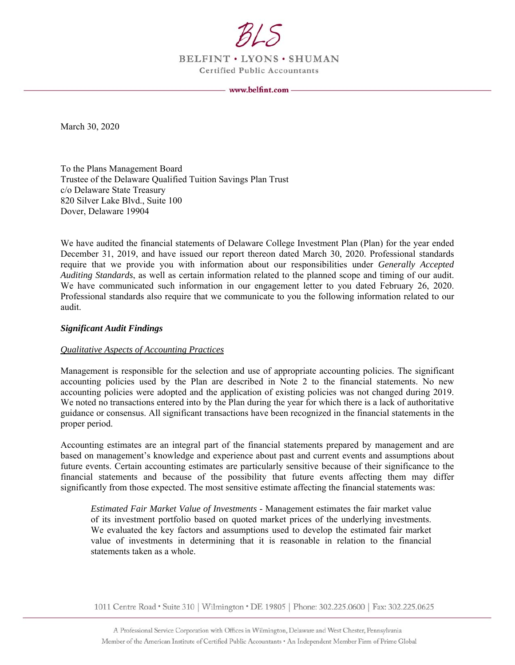

BELFINT . LYONS . SHUMAN **Certified Public Accountants** 

March 30, 2020

To the Plans Management Board Trustee of the Delaware Qualified Tuition Savings Plan Trust c/o Delaware State Treasury 820 Silver Lake Blvd., Suite 100 Dover, Delaware 19904

We have audited the financial statements of Delaware College Investment Plan (Plan) for the year ended December 31, 2019, and have issued our report thereon dated March 30, 2020. Professional standards require that we provide you with information about our responsibilities under *Generally Accepted Auditing Standards*, as well as certain information related to the planned scope and timing of our audit. We have communicated such information in our engagement letter to you dated February 26, 2020. Professional standards also require that we communicate to you the following information related to our audit.

### *Significant Audit Findings*

#### *Qualitative Aspects of Accounting Practices*

Management is responsible for the selection and use of appropriate accounting policies. The significant accounting policies used by the Plan are described in Note 2 to the financial statements. No new accounting policies were adopted and the application of existing policies was not changed during 2019. We noted no transactions entered into by the Plan during the year for which there is a lack of authoritative guidance or consensus. All significant transactions have been recognized in the financial statements in the proper period.

Accounting estimates are an integral part of the financial statements prepared by management and are based on management's knowledge and experience about past and current events and assumptions about future events. Certain accounting estimates are particularly sensitive because of their significance to the financial statements and because of the possibility that future events affecting them may differ significantly from those expected. The most sensitive estimate affecting the financial statements was:

*Estimated Fair Market Value of Investments* - Management estimates the fair market value of its investment portfolio based on quoted market prices of the underlying investments. We evaluated the key factors and assumptions used to develop the estimated fair market value of investments in determining that it is reasonable in relation to the financial statements taken as a whole.

1011 Centre Road • Suite 310 | Wilmington • DE 19805 | Phone: 302.225.0600 | Fax: 302.225.0625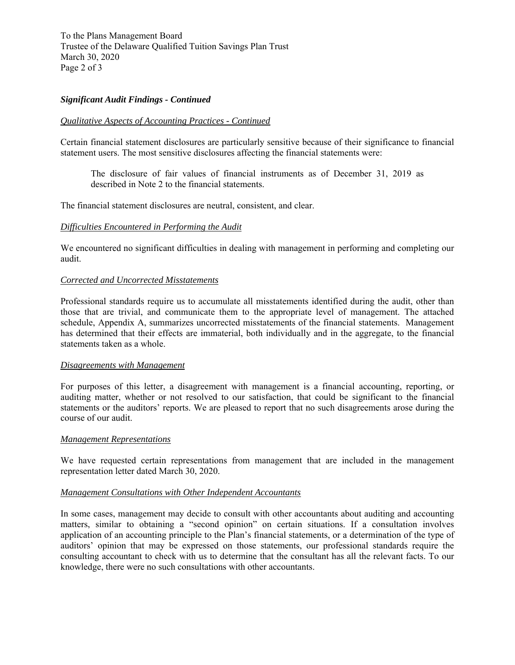To the Plans Management Board Trustee of the Delaware Qualified Tuition Savings Plan Trust March 30, 2020 Page 2 of 3

# *Significant Audit Findings - Continued*

#### *Qualitative Aspects of Accounting Practices - Continued*

Certain financial statement disclosures are particularly sensitive because of their significance to financial statement users. The most sensitive disclosures affecting the financial statements were:

The disclosure of fair values of financial instruments as of December 31, 2019 as described in Note 2 to the financial statements.

The financial statement disclosures are neutral, consistent, and clear.

#### *Difficulties Encountered in Performing the Audit*

We encountered no significant difficulties in dealing with management in performing and completing our audit.

#### *Corrected and Uncorrected Misstatements*

Professional standards require us to accumulate all misstatements identified during the audit, other than those that are trivial, and communicate them to the appropriate level of management. The attached schedule, Appendix A, summarizes uncorrected misstatements of the financial statements. Management has determined that their effects are immaterial, both individually and in the aggregate, to the financial statements taken as a whole.

## *Disagreements with Management*

For purposes of this letter, a disagreement with management is a financial accounting, reporting, or auditing matter, whether or not resolved to our satisfaction, that could be significant to the financial statements or the auditors' reports. We are pleased to report that no such disagreements arose during the course of our audit.

#### *Management Representations*

We have requested certain representations from management that are included in the management representation letter dated March 30, 2020.

## *Management Consultations with Other Independent Accountants*

In some cases, management may decide to consult with other accountants about auditing and accounting matters, similar to obtaining a "second opinion" on certain situations. If a consultation involves application of an accounting principle to the Plan's financial statements, or a determination of the type of auditors' opinion that may be expressed on those statements, our professional standards require the consulting accountant to check with us to determine that the consultant has all the relevant facts. To our knowledge, there were no such consultations with other accountants.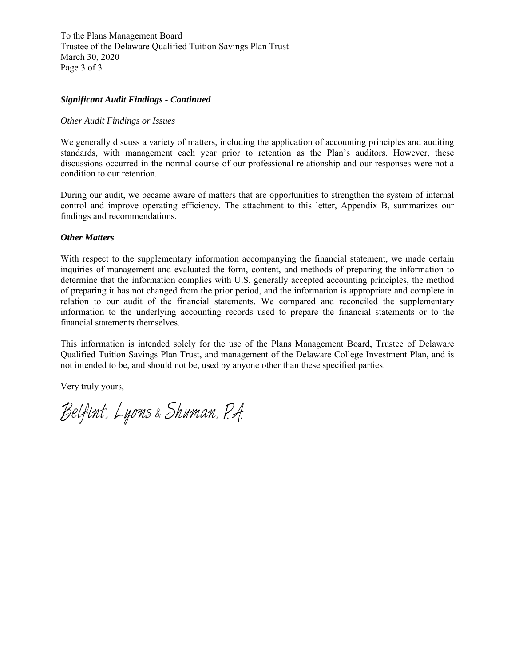To the Plans Management Board Trustee of the Delaware Qualified Tuition Savings Plan Trust March 30, 2020 Page 3 of 3

## *Significant Audit Findings - Continued*

## *Other Audit Findings or Issues*

We generally discuss a variety of matters, including the application of accounting principles and auditing standards, with management each year prior to retention as the Plan's auditors. However, these discussions occurred in the normal course of our professional relationship and our responses were not a condition to our retention.

During our audit, we became aware of matters that are opportunities to strengthen the system of internal control and improve operating efficiency. The attachment to this letter, Appendix B, summarizes our findings and recommendations.

## *Other Matters*

With respect to the supplementary information accompanying the financial statement, we made certain inquiries of management and evaluated the form, content, and methods of preparing the information to determine that the information complies with U.S. generally accepted accounting principles, the method of preparing it has not changed from the prior period, and the information is appropriate and complete in relation to our audit of the financial statements. We compared and reconciled the supplementary information to the underlying accounting records used to prepare the financial statements or to the financial statements themselves.

This information is intended solely for the use of the Plans Management Board, Trustee of Delaware Qualified Tuition Savings Plan Trust, and management of the Delaware College Investment Plan, and is not intended to be, and should not be, used by anyone other than these specified parties.

Very truly yours,

Belfint. Lyons & Shuman. P.A.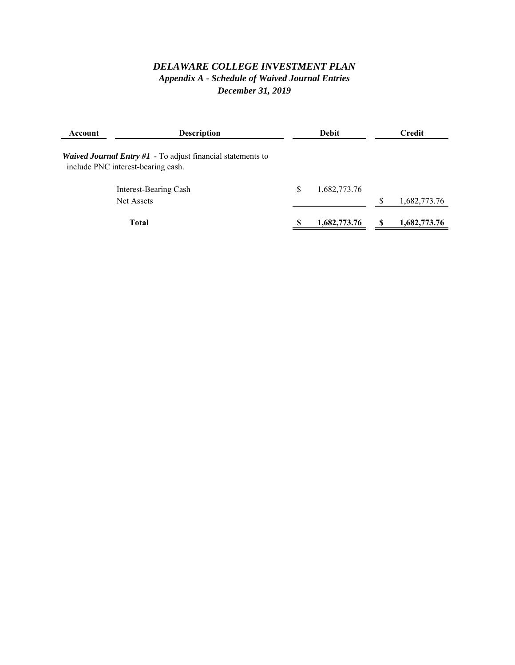# *DELAWARE COLLEGE INVESTMENT PLAN Appendix A - Schedule of Waived Journal Entries December 31, 2019*

| Account                                                                                             | <b>Description</b>    |   | <b>Debit</b> | Credit       |
|-----------------------------------------------------------------------------------------------------|-----------------------|---|--------------|--------------|
| Waived Journal Entry $#1$ - To adjust financial statements to<br>include PNC interest-bearing cash. |                       |   |              |              |
|                                                                                                     | Interest-Bearing Cash | S | 1,682,773.76 |              |
|                                                                                                     | Net Assets            |   |              | 1,682,773.76 |
|                                                                                                     | <b>Total</b>          |   | 1,682,773.76 | 1,682,773.76 |